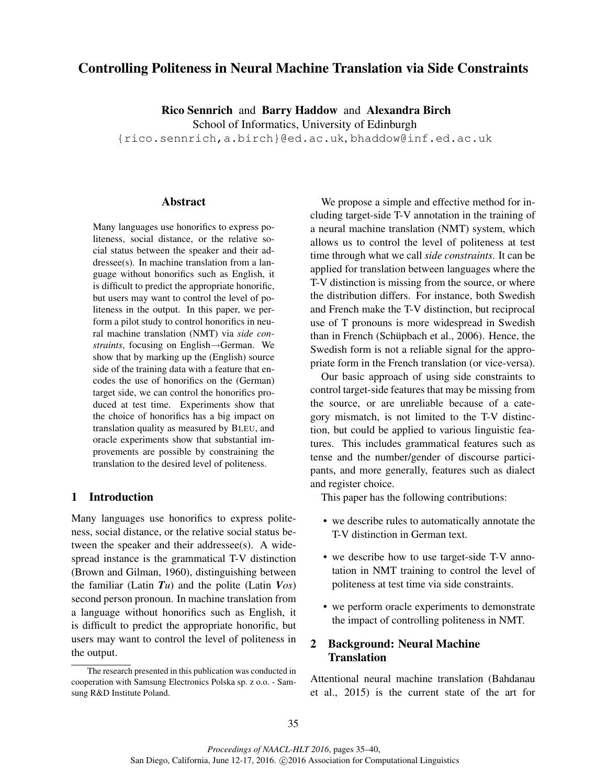# Controlling Politeness in Neural Machine Translation via Side Constraints

Rico Sennrich and Barry Haddow and Alexandra Birch

School of Informatics, University of Edinburgh

{rico.sennrich,a.birch}@ed.ac.uk, bhaddow@inf.ed.ac.uk

#### Abstract

Many languages use honorifics to express politeness, social distance, or the relative social status between the speaker and their addressee(s). In machine translation from a language without honorifics such as English, it is difficult to predict the appropriate honorific, but users may want to control the level of politeness in the output. In this paper, we perform a pilot study to control honorifics in neural machine translation (NMT) via *side constraints*, focusing on English→German. We show that by marking up the (English) source side of the training data with a feature that encodes the use of honorifics on the (German) target side, we can control the honorifics produced at test time. Experiments show that the choice of honorifics has a big impact on translation quality as measured by BLEU, and oracle experiments show that substantial improvements are possible by constraining the translation to the desired level of politeness.

### 1 Introduction

Many languages use honorifics to express politeness, social distance, or the relative social status between the speaker and their addressee(s). A widespread instance is the grammatical T-V distinction (Brown and Gilman, 1960), distinguishing between the familiar (Latin  $Tu$ ) and the polite (Latin  $V_{OS}$ ) second person pronoun. In machine translation from a language without honorifics such as English, it is difficult to predict the appropriate honorific, but users may want to control the level of politeness in the output.

We propose a simple and effective method for including target-side T-V annotation in the training of a neural machine translation (NMT) system, which allows us to control the level of politeness at test time through what we call *side constraints*. It can be applied for translation between languages where the T-V distinction is missing from the source, or where the distribution differs. For instance, both Swedish and French make the T-V distinction, but reciprocal use of T pronouns is more widespread in Swedish than in French (Schüpbach et al., 2006). Hence, the Swedish form is not a reliable signal for the appropriate form in the French translation (or vice-versa).

Our basic approach of using side constraints to control target-side features that may be missing from the source, or are unreliable because of a category mismatch, is not limited to the T-V distinction, but could be applied to various linguistic features. This includes grammatical features such as tense and the number/gender of discourse participants, and more generally, features such as dialect and register choice.

This paper has the following contributions:

- we describe rules to automatically annotate the T-V distinction in German text.
- we describe how to use target-side T-V annotation in NMT training to control the level of politeness at test time via side constraints.
- we perform oracle experiments to demonstrate the impact of controlling politeness in NMT.

## 2 Background: Neural Machine **Translation**

Attentional neural machine translation (Bahdanau et al., 2015) is the current state of the art for

The research presented in this publication was conducted in cooperation with Samsung Electronics Polska sp. z o.o. - Samsung R&D Institute Poland.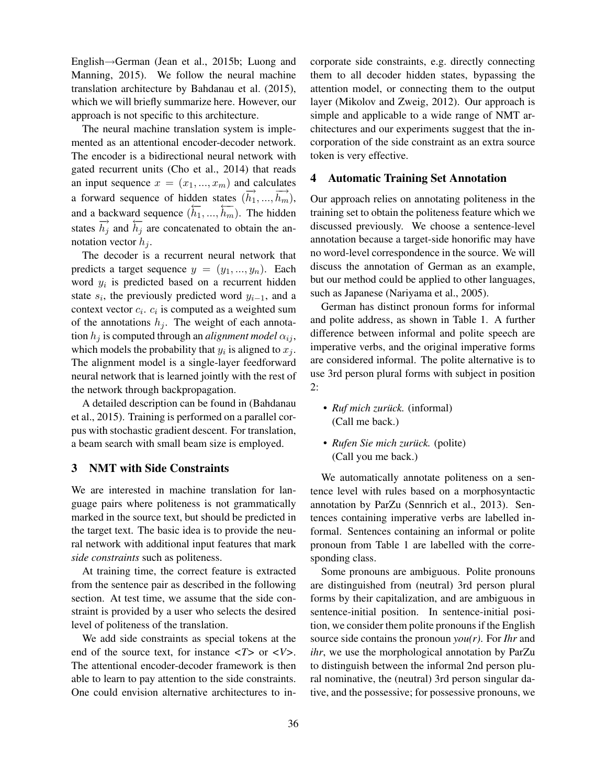English→German (Jean et al., 2015b; Luong and Manning, 2015). We follow the neural machine translation architecture by Bahdanau et al. (2015), which we will briefly summarize here. However, our approach is not specific to this architecture.

The neural machine translation system is implemented as an attentional encoder-decoder network. The encoder is a bidirectional neural network with gated recurrent units (Cho et al., 2014) that reads an input sequence  $x = (x_1, ..., x_m)$  and calculates a forward sequence of hidden states  $(\overrightarrow{h_1},...,\overrightarrow{h_m})$ , and a backward sequence  $(\overleftarrow{h_1},...,\overleftarrow{h_m})$ . The hidden states  $\overrightarrow{h_j}$  and  $\overleftarrow{h_j}$  are concatenated to obtain the annotation vector  $h_i$ .

The decoder is a recurrent neural network that predicts a target sequence  $y = (y_1, ..., y_n)$ . Each word  $y_i$  is predicted based on a recurrent hidden state  $s_i$ , the previously predicted word  $y_{i-1}$ , and a context vector  $c_i$ .  $c_i$  is computed as a weighted sum of the annotations  $h_i$ . The weight of each annotation  $h_j$  is computed through an *alignment model*  $\alpha_{ij}$ , which models the probability that  $y_i$  is aligned to  $x_j$ . The alignment model is a single-layer feedforward neural network that is learned jointly with the rest of the network through backpropagation.

A detailed description can be found in (Bahdanau et al., 2015). Training is performed on a parallel corpus with stochastic gradient descent. For translation, a beam search with small beam size is employed.

#### 3 NMT with Side Constraints

We are interested in machine translation for language pairs where politeness is not grammatically marked in the source text, but should be predicted in the target text. The basic idea is to provide the neural network with additional input features that mark *side constraints* such as politeness.

At training time, the correct feature is extracted from the sentence pair as described in the following section. At test time, we assume that the side constraint is provided by a user who selects the desired level of politeness of the translation.

We add side constraints as special tokens at the end of the source text, for instance *<T>* or *<V>*. The attentional encoder-decoder framework is then able to learn to pay attention to the side constraints. One could envision alternative architectures to incorporate side constraints, e.g. directly connecting them to all decoder hidden states, bypassing the attention model, or connecting them to the output layer (Mikolov and Zweig, 2012). Our approach is simple and applicable to a wide range of NMT architectures and our experiments suggest that the incorporation of the side constraint as an extra source token is very effective.

### 4 Automatic Training Set Annotation

Our approach relies on annotating politeness in the training set to obtain the politeness feature which we discussed previously. We choose a sentence-level annotation because a target-side honorific may have no word-level correspondence in the source. We will discuss the annotation of German as an example, but our method could be applied to other languages, such as Japanese (Nariyama et al., 2005).

German has distinct pronoun forms for informal and polite address, as shown in Table 1. A further difference between informal and polite speech are imperative verbs, and the original imperative forms are considered informal. The polite alternative is to use 3rd person plural forms with subject in position 2:

- *Ruf mich zurück.* (informal) (Call me back.)
- *Rufen Sie mich zurück.* (polite) (Call you me back.)

We automatically annotate politeness on a sentence level with rules based on a morphosyntactic annotation by ParZu (Sennrich et al., 2013). Sentences containing imperative verbs are labelled informal. Sentences containing an informal or polite pronoun from Table 1 are labelled with the corresponding class.

Some pronouns are ambiguous. Polite pronouns are distinguished from (neutral) 3rd person plural forms by their capitalization, and are ambiguous in sentence-initial position. In sentence-initial position, we consider them polite pronouns if the English source side contains the pronoun *you(r)*. For *Ihr* and *ihr*, we use the morphological annotation by ParZu to distinguish between the informal 2nd person plural nominative, the (neutral) 3rd person singular dative, and the possessive; for possessive pronouns, we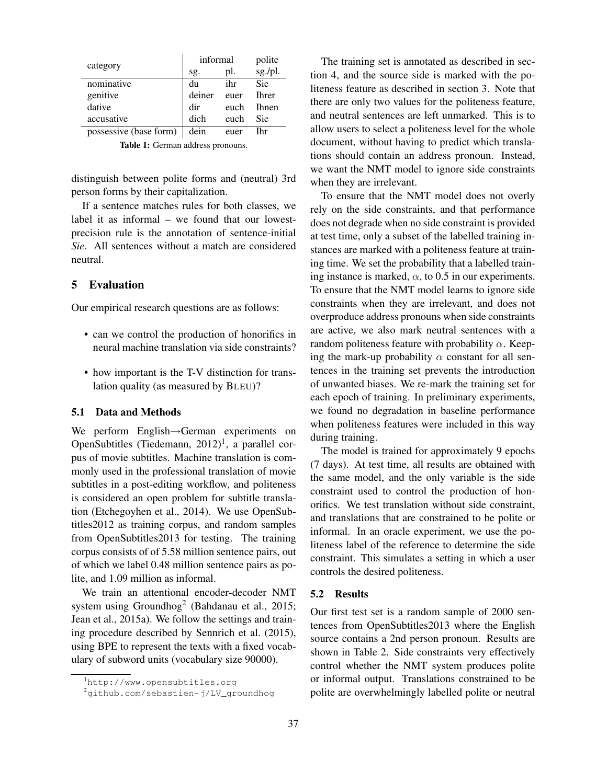|                        | informal |      | polite       |
|------------------------|----------|------|--------------|
| category               | sg.      | pl.  | sg./pl.      |
| nominative             | du       | ihr  | Sie          |
| genitive               | deiner   | euer | <b>Ihrer</b> |
| dative                 | dir      | euch | <b>Ihnen</b> |
| accusative             | dich     | euch | <b>Sie</b>   |
| possessive (base form) | dein     | euer | Ihr          |

Table 1: German address pronouns.

distinguish between polite forms and (neutral) 3rd person forms by their capitalization.

If a sentence matches rules for both classes, we label it as informal – we found that our lowestprecision rule is the annotation of sentence-initial *Sie*. All sentences without a match are considered neutral.

#### 5 Evaluation

Our empirical research questions are as follows:

- can we control the production of honorifics in neural machine translation via side constraints?
- how important is the T-V distinction for translation quality (as measured by BLEU)?

#### 5.1 Data and Methods

We perform English→German experiments on OpenSubtitles (Tiedemann,  $2012$ )<sup>1</sup>, a parallel corpus of movie subtitles. Machine translation is commonly used in the professional translation of movie subtitles in a post-editing workflow, and politeness is considered an open problem for subtitle translation (Etchegoyhen et al., 2014). We use OpenSubtitles2012 as training corpus, and random samples from OpenSubtitles2013 for testing. The training corpus consists of of 5.58 million sentence pairs, out of which we label 0.48 million sentence pairs as polite, and 1.09 million as informal.

We train an attentional encoder-decoder NMT system using Groundhog<sup>2</sup> (Bahdanau et al., 2015; Jean et al., 2015a). We follow the settings and training procedure described by Sennrich et al. (2015), using BPE to represent the texts with a fixed vocabulary of subword units (vocabulary size 90000).

The training set is annotated as described in section 4, and the source side is marked with the politeness feature as described in section 3. Note that there are only two values for the politeness feature, and neutral sentences are left unmarked. This is to allow users to select a politeness level for the whole document, without having to predict which translations should contain an address pronoun. Instead, we want the NMT model to ignore side constraints when they are irrelevant.

To ensure that the NMT model does not overly rely on the side constraints, and that performance does not degrade when no side constraint is provided at test time, only a subset of the labelled training instances are marked with a politeness feature at training time. We set the probability that a labelled training instance is marked,  $\alpha$ , to 0.5 in our experiments. To ensure that the NMT model learns to ignore side constraints when they are irrelevant, and does not overproduce address pronouns when side constraints are active, we also mark neutral sentences with a random politeness feature with probability  $\alpha$ . Keeping the mark-up probability  $\alpha$  constant for all sentences in the training set prevents the introduction of unwanted biases. We re-mark the training set for each epoch of training. In preliminary experiments, we found no degradation in baseline performance when politeness features were included in this way during training.

The model is trained for approximately 9 epochs (7 days). At test time, all results are obtained with the same model, and the only variable is the side constraint used to control the production of honorifics. We test translation without side constraint, and translations that are constrained to be polite or informal. In an oracle experiment, we use the politeness label of the reference to determine the side constraint. This simulates a setting in which a user controls the desired politeness.

#### 5.2 Results

Our first test set is a random sample of 2000 sentences from OpenSubtitles2013 where the English source contains a 2nd person pronoun. Results are shown in Table 2. Side constraints very effectively control whether the NMT system produces polite or informal output. Translations constrained to be polite are overwhelmingly labelled polite or neutral

<sup>1</sup>http://www.opensubtitles.org

 $^{2}$ github.com/sebastien-j/LV groundhog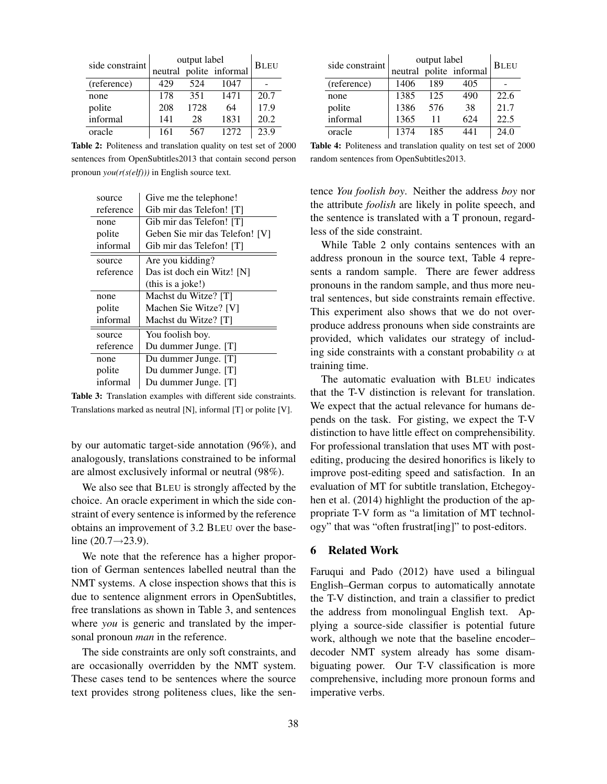| side constraint | output label | <b>BLEU</b> |                         |      |
|-----------------|--------------|-------------|-------------------------|------|
|                 |              |             | neutral polite informal |      |
| (reference)     | 429          | 524         | 1047                    |      |
| none            | 178          | 351         | 1471                    | 20.7 |
| polite          | 208          | 1728        | 64                      | 17.9 |
| informal        | 141          | 28          | 1831                    | 20.2 |
| oracle          | 161          | 567         | 12.72                   | 23.9 |

Table 2: Politeness and translation quality on test set of 2000 sentences from OpenSubtitles2013 that contain second person pronoun *you(r(s(elf)))* in English source text.

| source    | Give me the telephone!         |
|-----------|--------------------------------|
| reference | Gib mir das Telefon! [T]       |
| none      | Gib mir das Telefon! [T]       |
| polite    | Geben Sie mir das Telefon! [V] |
| informal  | Gib mir das Telefon! [T]       |
| source    | Are you kidding?               |
| reference | Das ist doch ein Witz! [N]     |
|           | (this is a joke!)              |
|           |                                |
| none      | Machst du Witze? [T]           |
| polite    | Machen Sie Witze? [V]          |
| informal  | Machst du Witze? [T]           |
| source    | You foolish boy.               |
| reference | Du dummer Junge. [T]           |
| none      | Du dummer Junge. [T]           |
| polite    | Du dummer Junge. [T]           |

Table 3: Translation examples with different side constraints. Translations marked as neutral [N], informal [T] or polite [V].

by our automatic target-side annotation (96%), and analogously, translations constrained to be informal are almost exclusively informal or neutral (98%).

We also see that BLEU is strongly affected by the choice. An oracle experiment in which the side constraint of every sentence is informed by the reference obtains an improvement of 3.2 BLEU over the baseline  $(20.7 \rightarrow 23.9)$ .

We note that the reference has a higher proportion of German sentences labelled neutral than the NMT systems. A close inspection shows that this is due to sentence alignment errors in OpenSubtitles, free translations as shown in Table 3, and sentences where *you* is generic and translated by the impersonal pronoun *man* in the reference.

The side constraints are only soft constraints, and are occasionally overridden by the NMT system. These cases tend to be sentences where the source text provides strong politeness clues, like the sen-

| side constraint | output label | <b>BLEU</b> |                         |      |
|-----------------|--------------|-------------|-------------------------|------|
|                 |              |             | neutral polite informal |      |
| (reference)     | 1406         | 189         | 405                     |      |
| none            | 1385         | 125         | 490                     | 22.6 |
| polite          | 1386         | 576         | 38                      | 21.7 |
| informal        | 1365         | 11          | 624                     | 22.5 |
| oracle          | 1374         | 185         |                         | 24.0 |

Table 4: Politeness and translation quality on test set of 2000 random sentences from OpenSubtitles2013.

tence *You foolish boy*. Neither the address *boy* nor the attribute *foolish* are likely in polite speech, and the sentence is translated with a T pronoun, regardless of the side constraint.

While Table 2 only contains sentences with an address pronoun in the source text, Table 4 represents a random sample. There are fewer address pronouns in the random sample, and thus more neutral sentences, but side constraints remain effective. This experiment also shows that we do not overproduce address pronouns when side constraints are provided, which validates our strategy of including side constraints with a constant probability  $\alpha$  at training time.

The automatic evaluation with BLEU indicates that the T-V distinction is relevant for translation. We expect that the actual relevance for humans depends on the task. For gisting, we expect the T-V distinction to have little effect on comprehensibility. For professional translation that uses MT with postediting, producing the desired honorifics is likely to improve post-editing speed and satisfaction. In an evaluation of MT for subtitle translation, Etchegoyhen et al. (2014) highlight the production of the appropriate T-V form as "a limitation of MT technology" that was "often frustrat[ing]" to post-editors.

#### 6 Related Work

Faruqui and Pado (2012) have used a bilingual English–German corpus to automatically annotate the T-V distinction, and train a classifier to predict the address from monolingual English text. Applying a source-side classifier is potential future work, although we note that the baseline encoder– decoder NMT system already has some disambiguating power. Our T-V classification is more comprehensive, including more pronoun forms and imperative verbs.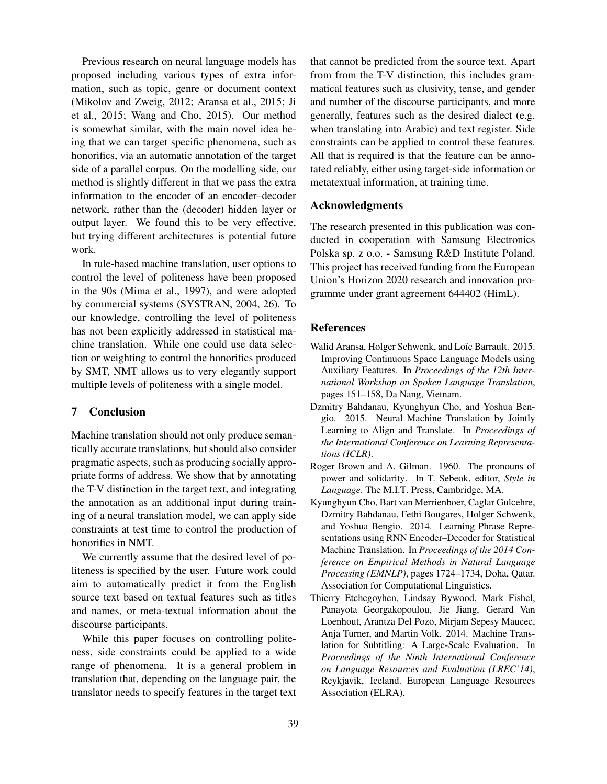Previous research on neural language models has proposed including various types of extra information, such as topic, genre or document context (Mikolov and Zweig, 2012; Aransa et al., 2015; Ji et al., 2015; Wang and Cho, 2015). Our method is somewhat similar, with the main novel idea being that we can target specific phenomena, such as honorifics, via an automatic annotation of the target side of a parallel corpus. On the modelling side, our method is slightly different in that we pass the extra information to the encoder of an encoder–decoder network, rather than the (decoder) hidden layer or output layer. We found this to be very effective, but trying different architectures is potential future work.

In rule-based machine translation, user options to control the level of politeness have been proposed in the 90s (Mima et al., 1997), and were adopted by commercial systems (SYSTRAN, 2004, 26). To our knowledge, controlling the level of politeness has not been explicitly addressed in statistical machine translation. While one could use data selection or weighting to control the honorifics produced by SMT, NMT allows us to very elegantly support multiple levels of politeness with a single model.

#### 7 Conclusion

Machine translation should not only produce semantically accurate translations, but should also consider pragmatic aspects, such as producing socially appropriate forms of address. We show that by annotating the T-V distinction in the target text, and integrating the annotation as an additional input during training of a neural translation model, we can apply side constraints at test time to control the production of honorifics in NMT.

We currently assume that the desired level of politeness is specified by the user. Future work could aim to automatically predict it from the English source text based on textual features such as titles and names, or meta-textual information about the discourse participants.

While this paper focuses on controlling politeness, side constraints could be applied to a wide range of phenomena. It is a general problem in translation that, depending on the language pair, the translator needs to specify features in the target text that cannot be predicted from the source text. Apart from from the T-V distinction, this includes grammatical features such as clusivity, tense, and gender and number of the discourse participants, and more generally, features such as the desired dialect (e.g. when translating into Arabic) and text register. Side constraints can be applied to control these features. All that is required is that the feature can be annotated reliably, either using target-side information or metatextual information, at training time.

#### Acknowledgments

The research presented in this publication was conducted in cooperation with Samsung Electronics Polska sp. z o.o. - Samsung R&D Institute Poland. This project has received funding from the European Union's Horizon 2020 research and innovation programme under grant agreement 644402 (HimL).

#### References

- Walid Aransa, Holger Schwenk, and Loïc Barrault. 2015. Improving Continuous Space Language Models using Auxiliary Features. In *Proceedings of the 12th International Workshop on Spoken Language Translation*, pages 151–158, Da Nang, Vietnam.
- Dzmitry Bahdanau, Kyunghyun Cho, and Yoshua Bengio. 2015. Neural Machine Translation by Jointly Learning to Align and Translate. In *Proceedings of the International Conference on Learning Representations (ICLR)*.
- Roger Brown and A. Gilman. 1960. The pronouns of power and solidarity. In T. Sebeok, editor, *Style in Language*. The M.I.T. Press, Cambridge, MA.
- Kyunghyun Cho, Bart van Merrienboer, Caglar Gulcehre, Dzmitry Bahdanau, Fethi Bougares, Holger Schwenk, and Yoshua Bengio. 2014. Learning Phrase Representations using RNN Encoder–Decoder for Statistical Machine Translation. In *Proceedings of the 2014 Conference on Empirical Methods in Natural Language Processing (EMNLP)*, pages 1724–1734, Doha, Qatar. Association for Computational Linguistics.
- Thierry Etchegoyhen, Lindsay Bywood, Mark Fishel, Panayota Georgakopoulou, Jie Jiang, Gerard Van Loenhout, Arantza Del Pozo, Mirjam Sepesy Maucec, Anja Turner, and Martin Volk. 2014. Machine Translation for Subtitling: A Large-Scale Evaluation. In *Proceedings of the Ninth International Conference on Language Resources and Evaluation (LREC'14)*, Reykjavik, Iceland. European Language Resources Association (ELRA).